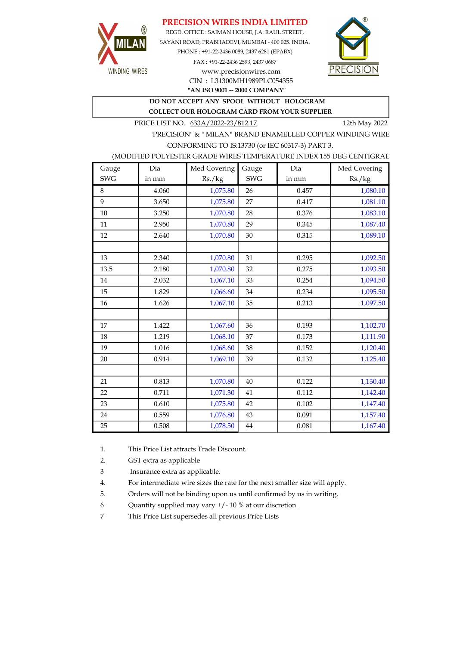## PRECISION WIRES INDIA LIMITED



REGD. OFFICE : SAIMAN HOUSE, J.A. RAUL STREET, SAYANI ROAD, PRABHADEVI, MUMBAI - 400 025. INDIA. PHONE : +91-22-2436 0089, 2437 6281 (EPABX) FAX : +91-22-2436 2593, 2437 0687 www.precisionwires.com



"AN ISO 9001 -- 2000 COMPANY" CIN : L31300MH1989PLC054355

DO NOT ACCEPT ANY SPOOL WITHOUT HOLOGRAM

COLLECT OUR HOLOGRAM CARD FROM YOUR SUPPLIER

PRICE LIST NO. 633A/2022-23/812.17 12th May 2022

"PRECISION" & " MILAN" BRAND ENAMELLED COPPER WINDING WIRE CONFORMING TO IS:13730 (or IEC 60317-3) PART 3,

### (MODIFIED POLYESTER GRADE WIRES TEMPERATURE INDEX 155 DEG CENTIGRAD

| Gauge      | Dia   | Med Covering | Gauge      | Dia   | Med Covering |
|------------|-------|--------------|------------|-------|--------------|
| <b>SWG</b> | in mm | Rs./kg       | <b>SWG</b> | in mm | Rs./kg       |
| 8          | 4.060 | 1,075.80     | 26         | 0.457 | 1,080.10     |
| 9          | 3.650 | 1,075.80     | 27         | 0.417 | 1,081.10     |
| 10         | 3.250 | 1,070.80     | 28         | 0.376 | 1,083.10     |
| 11         | 2.950 | 1,070.80     | 29         | 0.345 | 1,087.40     |
| 12         | 2.640 | 1,070.80     | 30         | 0.315 | 1,089.10     |
|            |       |              |            |       |              |
| 13         | 2.340 | 1,070.80     | 31         | 0.295 | 1,092.50     |
| 13.5       | 2.180 | 1,070.80     | 32         | 0.275 | 1,093.50     |
| 14         | 2.032 | 1,067.10     | 33         | 0.254 | 1,094.50     |
| 15         | 1.829 | 1,066.60     | 34         | 0.234 | 1,095.50     |
| 16         | 1.626 | 1,067.10     | 35         | 0.213 | 1,097.50     |
|            |       |              |            |       |              |
| 17         | 1.422 | 1,067.60     | 36         | 0.193 | 1,102.70     |
| 18         | 1.219 | 1,068.10     | 37         | 0.173 | 1,111.90     |
| 19         | 1.016 | 1,068.60     | 38         | 0.152 | 1,120.40     |
| 20         | 0.914 | 1,069.10     | 39         | 0.132 | 1,125.40     |
|            |       |              |            |       |              |
| 21         | 0.813 | 1,070.80     | 40         | 0.122 | 1,130.40     |
| 22         | 0.711 | 1,071.30     | 41         | 0.112 | 1,142.40     |
| 23         | 0.610 | 1,075.80     | 42         | 0.102 | 1,147.40     |
| 24         | 0.559 | 1,076.80     | 43         | 0.091 | 1,157.40     |
| 25         | 0.508 | 1,078.50     | 44         | 0.081 | 1,167.40     |

1. This Price List attracts Trade Discount.

2. GST extra as applicable

3 Insurance extra as applicable.

4. For intermediate wire sizes the rate for the next smaller size will apply.

5. Orders will not be binding upon us until confirmed by us in writing.

6 Quantity supplied may vary +/- 10 % at our discretion.

7 This Price List supersedes all previous Price Lists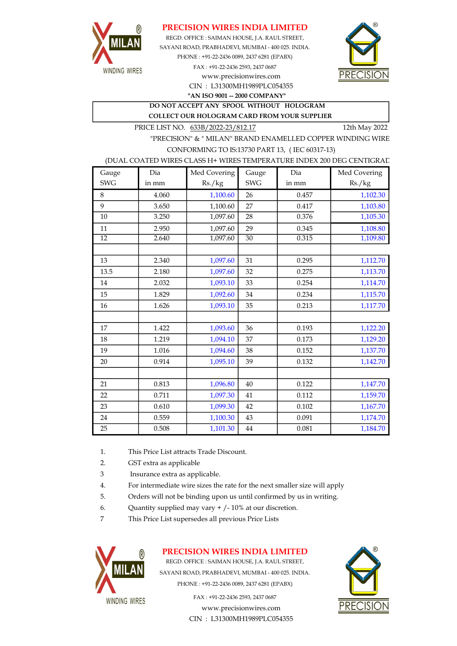

## PRECISION WIRES INDIA LIMITED

REGD. OFFICE : SAIMAN HOUSE, J.A. RAUL STREET, SAYANI ROAD, PRABHADEVI, MUMBAI - 400 025. INDIA. PHONE : +91-22-2436 0089, 2437 6281 (EPABX) FAX : +91-22-2436 2593, 2437 0687 www.precisionwires.com



CIN : L31300MH1989PLC054355 "AN ISO 9001 -- 2000 COMPANY"

DO NOT ACCEPT ANY SPOOL WITHOUT HOLOGRAM COLLECT OUR HOLOGRAM CARD FROM YOUR SUPPLIER

PRICE LIST NO. 633B/2022-23/812.17 12th May 2022

"PRECISION" & " MILAN" BRAND ENAMELLED COPPER WINDING WIRE CONFORMING TO IS:13730 PART 13, ( IEC 60317-13)

#### (DUAL COATED WIRES CLASS H+ WIRES TEMPERATURE INDEX 200 DEG CENTIGRAD

| Gauge           | Dia   | Med Covering | Gauge      | Dia   | Med Covering |
|-----------------|-------|--------------|------------|-------|--------------|
| <b>SWG</b>      | in mm | Rs./kg       | <b>SWG</b> | in mm | Rs./kg       |
| 8               | 4.060 | 1,100.60     | 26         | 0.457 | 1,102.30     |
| 9               | 3.650 | 1,100.60     | 27         | 0.417 | 1,103.80     |
| 10              | 3.250 | 1,097.60     | 28         | 0.376 | 1,105.30     |
| 11              | 2.950 | 1,097.60     | 29         | 0.345 | 1,108.80     |
| $\overline{12}$ | 2.640 | 1,097.60     | 30         | 0.315 | 1,109.80     |
|                 |       |              |            |       |              |
| 13              | 2.340 | 1,097.60     | 31         | 0.295 | 1,112.70     |
| 13.5            | 2.180 | 1,097.60     | 32         | 0.275 | 1,113.70     |
| 14              | 2.032 | 1,093.10     | 33         | 0.254 | 1,114.70     |
| 15              | 1.829 | 1,092.60     | 34         | 0.234 | 1,115.70     |
| 16              | 1.626 | 1,093.10     | 35         | 0.213 | 1,117.70     |
|                 |       |              |            |       |              |
| 17              | 1.422 | 1,093.60     | 36         | 0.193 | 1,122.20     |
| 18              | 1.219 | 1,094.10     | 37         | 0.173 | 1,129.20     |
| 19              | 1.016 | 1,094.60     | 38         | 0.152 | 1,137.70     |
| 20              | 0.914 | 1,095.10     | 39         | 0.132 | 1,142.70     |
|                 |       |              |            |       |              |
| 21              | 0.813 | 1,096.80     | 40         | 0.122 | 1,147.70     |
| 22              | 0.711 | 1,097.30     | 41         | 0.112 | 1,159.70     |
| 23              | 0.610 | 1,099.30     | 42         | 0.102 | 1,167.70     |
| 24              | 0.559 | 1,100.30     | 43         | 0.091 | 1,174.70     |
| 25              | 0.508 | 1,101.30     | $\bf 44$   | 0.081 | 1,184.70     |

- 1. This Price List attracts Trade Discount.
- 2. GST extra as applicable
- 3 Insurance extra as applicable.
- 4. For intermediate wire sizes the rate for the next smaller size will apply
- 5. Orders will not be binding upon us until confirmed by us in writing.
- 6. Quantity supplied may vary  $+/-10\%$  at our discretion.
- 7 This Price List supersedes all previous Price Lists



## PRECISION WIRES INDIA LIMITED

REGD. OFFICE : SAIMAN HOUSE, J.A. RAUL STREET, SAYANI ROAD, PRABHADEVI, MUMBAI - 400 025. INDIA. PHONE : +91-22-2436 0089, 2437 6281 (EPABX)

> www.precisionwires.com CIN : L31300MH1989PLC054355 FAX : +91-22-2436 2593, 2437 0687